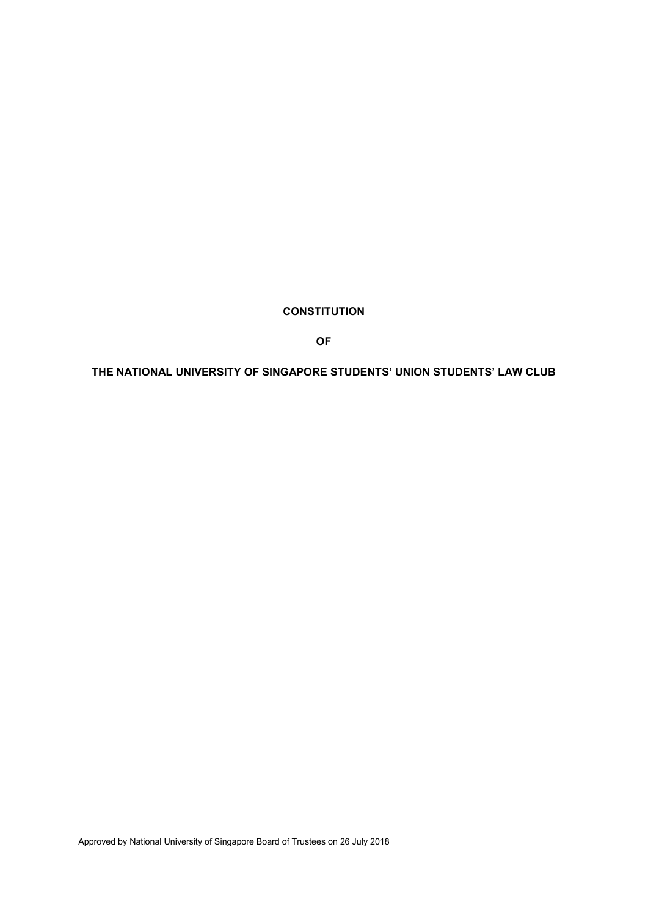# **CONSTITUTION**

**OF**

# **THE NATIONAL UNIVERSITY OF SINGAPORE STUDENTS' UNION STUDENTS' LAW CLUB**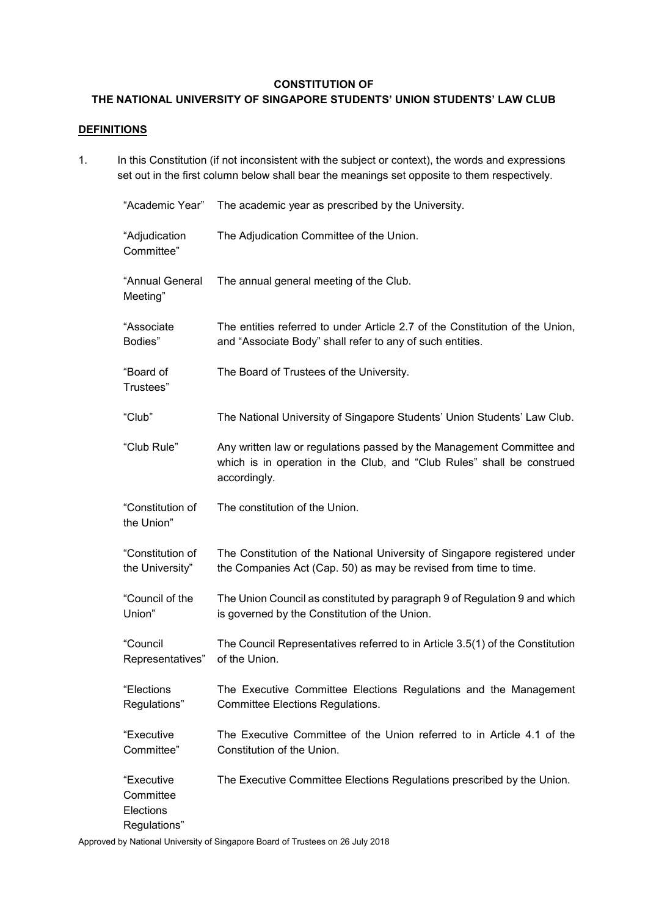# **CONSTITUTION OF**

# **THE NATIONAL UNIVERSITY OF SINGAPORE STUDENTS' UNION STUDENTS' LAW CLUB**

# **DEFINITIONS**

1. In this Constitution (if not inconsistent with the subject or context), the words and expressions set out in the first column below shall bear the meanings set opposite to them respectively.

| "Academic Year"                                      | The academic year as prescribed by the University.                                                                                                              |
|------------------------------------------------------|-----------------------------------------------------------------------------------------------------------------------------------------------------------------|
| "Adjudication<br>Committee"                          | The Adjudication Committee of the Union.                                                                                                                        |
| "Annual General<br>Meeting"                          | The annual general meeting of the Club.                                                                                                                         |
| "Associate<br>Bodies"                                | The entities referred to under Article 2.7 of the Constitution of the Union,<br>and "Associate Body" shall refer to any of such entities.                       |
| "Board of<br>Trustees"                               | The Board of Trustees of the University.                                                                                                                        |
| "Club"                                               | The National University of Singapore Students' Union Students' Law Club.                                                                                        |
| "Club Rule"                                          | Any written law or regulations passed by the Management Committee and<br>which is in operation in the Club, and "Club Rules" shall be construed<br>accordingly. |
| "Constitution of<br>the Union"                       | The constitution of the Union.                                                                                                                                  |
| "Constitution of<br>the University"                  | The Constitution of the National University of Singapore registered under<br>the Companies Act (Cap. 50) as may be revised from time to time.                   |
| "Council of the<br>Union"                            | The Union Council as constituted by paragraph 9 of Regulation 9 and which<br>is governed by the Constitution of the Union.                                      |
| "Council<br>Representatives"                         | The Council Representatives referred to in Article 3.5(1) of the Constitution<br>of the Union.                                                                  |
| "Elections<br>Regulations"                           | The Executive Committee Elections Regulations and the Management<br><b>Committee Elections Regulations.</b>                                                     |
| "Executive<br>Committee"                             | The Executive Committee of the Union referred to in Article 4.1 of the<br>Constitution of the Union.                                                            |
| "Executive<br>Committee<br>Elections<br>Regulations" | The Executive Committee Elections Regulations prescribed by the Union.                                                                                          |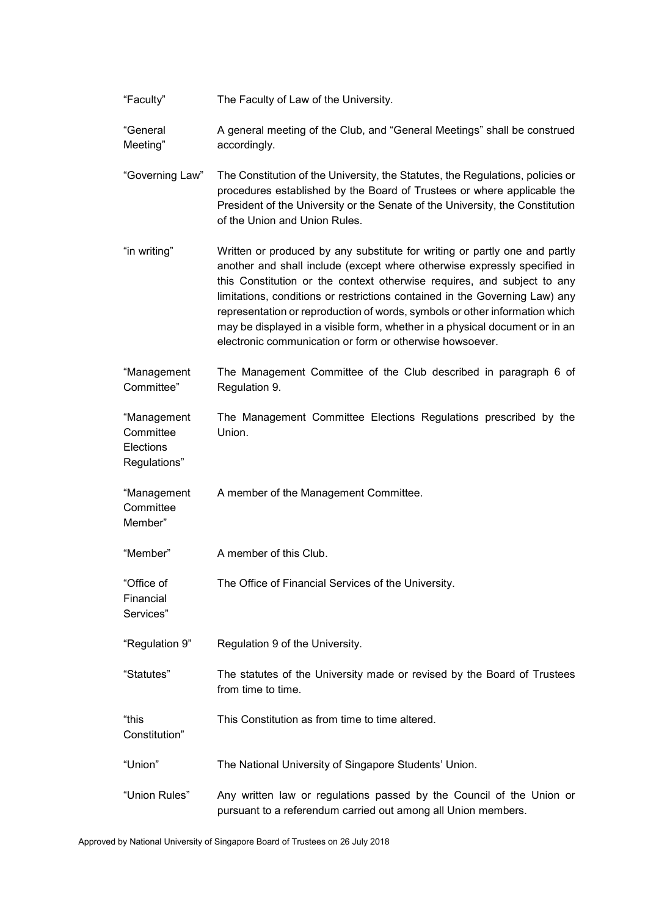| "Faculty" | The Faculty of Law of the University. |
|-----------|---------------------------------------|
|-----------|---------------------------------------|

- "General Meeting" A general meeting of the Club, and "General Meetings" shall be construed accordingly.
- "Governing Law" The Constitution of the University, the Statutes, the Regulations, policies or procedures established by the Board of Trustees or where applicable the President of the University or the Senate of the University, the Constitution of the Union and Union Rules.
- "in writing" Written or produced by any substitute for writing or partly one and partly another and shall include (except where otherwise expressly specified in this Constitution or the context otherwise requires, and subject to any limitations, conditions or restrictions contained in the Governing Law) any representation or reproduction of words, symbols or other information which may be displayed in a visible form, whether in a physical document or in an electronic communication or form or otherwise howsoever.
- "Management Committee" The Management Committee of the Club described in paragraph 6 of Regulation 9.
- "Management **Committee Elections** The Management Committee Elections Regulations prescribed by the Union.
- "Management **Committee** A member of the Management Committee.
- Member"

Regulations"

- "Member" A member of this Club.
- "Office of The Office of Financial Services of the University.
- Financial Services"
- "Regulation 9" Regulation 9 of the University.
- "Statutes" The statutes of the University made or revised by the Board of Trustees from time to time.
- "this This Constitution as from time to time altered.
- Constitution"
- "Union" The National University of Singapore Students' Union.
- "Union Rules" Any written law or regulations passed by the Council of the Union or pursuant to a referendum carried out among all Union members.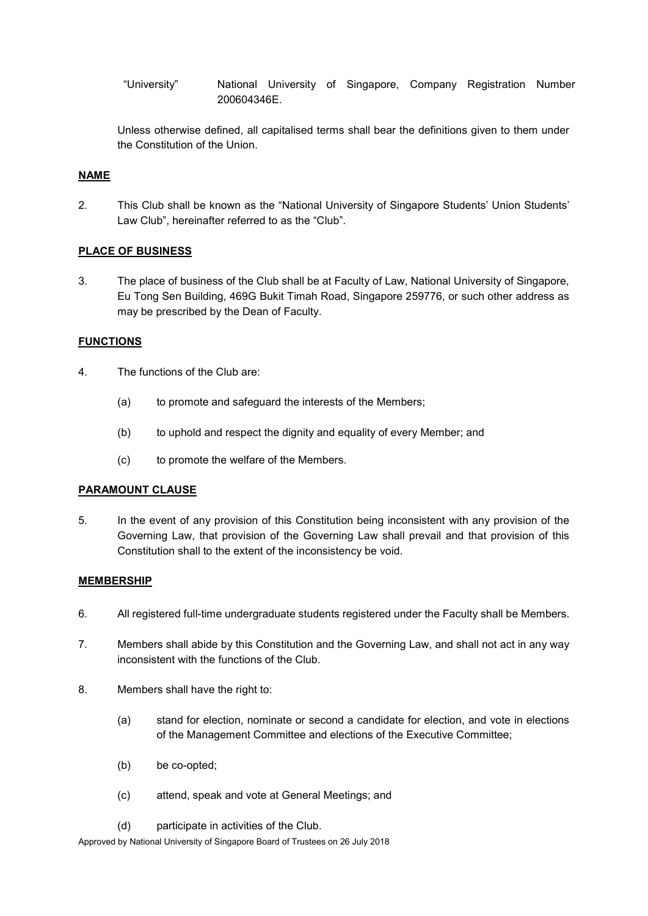"University" National University of Singapore, Company Registration Number 200604346E.

Unless otherwise defined, all capitalised terms shall bear the definitions given to them under the Constitution of the Union.

# **NAME**

2. This Club shall be known as the "National University of Singapore Students' Union Students' Law Club", hereinafter referred to as the "Club".

### **PLACE OF BUSINESS**

3. The place of business of the Club shall be at Faculty of Law, National University of Singapore, Eu Tong Sen Building, 469G Bukit Timah Road, Singapore 259776, or such other address as may be prescribed by the Dean of Faculty.

# **FUNCTIONS**

- 4. The functions of the Club are:
	- (a) to promote and safeguard the interests of the Members;
	- (b) to uphold and respect the dignity and equality of every Member; and
	- (c) to promote the welfare of the Members.

### **PARAMOUNT CLAUSE**

5. In the event of any provision of this Constitution being inconsistent with any provision of the Governing Law, that provision of the Governing Law shall prevail and that provision of this Constitution shall to the extent of the inconsistency be void.

### **MEMBERSHIP**

- 6. All registered full-time undergraduate students registered under the Faculty shall be Members.
- 7. Members shall abide by this Constitution and the Governing Law, and shall not act in any way inconsistent with the functions of the Club.
- 8. Members shall have the right to:
	- (a) stand for election, nominate or second a candidate for election, and vote in elections of the Management Committee and elections of the Executive Committee;
	- (b) be co-opted;
	- (c) attend, speak and vote at General Meetings; and
	- (d) participate in activities of the Club.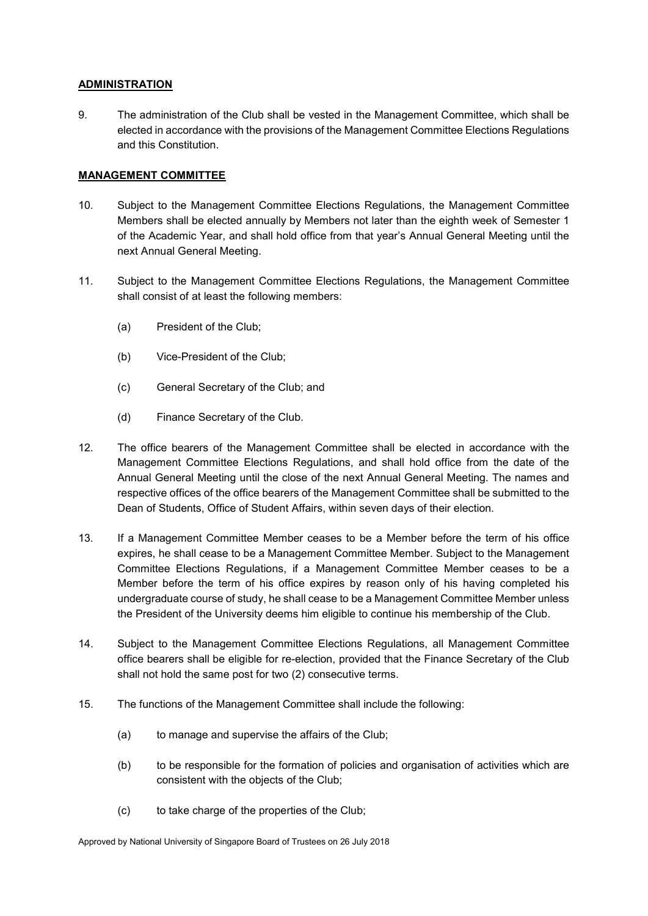### **ADMINISTRATION**

9. The administration of the Club shall be vested in the Management Committee, which shall be elected in accordance with the provisions of the Management Committee Elections Regulations and this Constitution.

# **MANAGEMENT COMMITTEE**

- 10. Subject to the Management Committee Elections Regulations, the Management Committee Members shall be elected annually by Members not later than the eighth week of Semester 1 of the Academic Year, and shall hold office from that year's Annual General Meeting until the next Annual General Meeting.
- 11. Subject to the Management Committee Elections Regulations, the Management Committee shall consist of at least the following members:
	- (a) President of the Club;
	- (b) Vice-President of the Club;
	- (c) General Secretary of the Club; and
	- (d) Finance Secretary of the Club.
- 12. The office bearers of the Management Committee shall be elected in accordance with the Management Committee Elections Regulations, and shall hold office from the date of the Annual General Meeting until the close of the next Annual General Meeting. The names and respective offices of the office bearers of the Management Committee shall be submitted to the Dean of Students, Office of Student Affairs, within seven days of their election.
- 13. If a Management Committee Member ceases to be a Member before the term of his office expires, he shall cease to be a Management Committee Member. Subject to the Management Committee Elections Regulations, if a Management Committee Member ceases to be a Member before the term of his office expires by reason only of his having completed his undergraduate course of study, he shall cease to be a Management Committee Member unless the President of the University deems him eligible to continue his membership of the Club.
- 14. Subject to the Management Committee Elections Regulations, all Management Committee office bearers shall be eligible for re-election, provided that the Finance Secretary of the Club shall not hold the same post for two (2) consecutive terms.
- 15. The functions of the Management Committee shall include the following:
	- (a) to manage and supervise the affairs of the Club;
	- (b) to be responsible for the formation of policies and organisation of activities which are consistent with the objects of the Club;
	- (c) to take charge of the properties of the Club;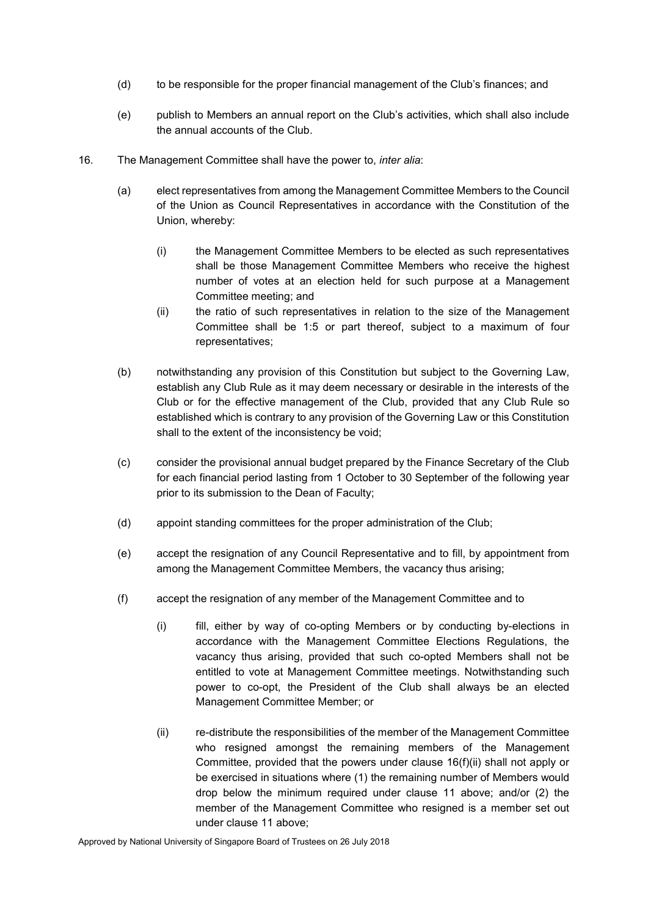- (d) to be responsible for the proper financial management of the Club's finances; and
- (e) publish to Members an annual report on the Club's activities, which shall also include the annual accounts of the Club.
- 16. The Management Committee shall have the power to, *inter alia*:
	- (a) elect representatives from among the Management Committee Members to the Council of the Union as Council Representatives in accordance with the Constitution of the Union, whereby:
		- (i) the Management Committee Members to be elected as such representatives shall be those Management Committee Members who receive the highest number of votes at an election held for such purpose at a Management Committee meeting; and
		- (ii) the ratio of such representatives in relation to the size of the Management Committee shall be 1:5 or part thereof, subject to a maximum of four representatives;
	- (b) notwithstanding any provision of this Constitution but subject to the Governing Law, establish any Club Rule as it may deem necessary or desirable in the interests of the Club or for the effective management of the Club, provided that any Club Rule so established which is contrary to any provision of the Governing Law or this Constitution shall to the extent of the inconsistency be void;
	- (c) consider the provisional annual budget prepared by the Finance Secretary of the Club for each financial period lasting from 1 October to 30 September of the following year prior to its submission to the Dean of Faculty;
	- (d) appoint standing committees for the proper administration of the Club;
	- (e) accept the resignation of any Council Representative and to fill, by appointment from among the Management Committee Members, the vacancy thus arising;
	- (f) accept the resignation of any member of the Management Committee and to
		- (i) fill, either by way of co-opting Members or by conducting by-elections in accordance with the Management Committee Elections Regulations, the vacancy thus arising, provided that such co-opted Members shall not be entitled to vote at Management Committee meetings. Notwithstanding such power to co-opt, the President of the Club shall always be an elected Management Committee Member; or
		- (ii) re-distribute the responsibilities of the member of the Management Committee who resigned amongst the remaining members of the Management Committee, provided that the powers under clause 16(f)(ii) shall not apply or be exercised in situations where (1) the remaining number of Members would drop below the minimum required under clause 11 above; and/or (2) the member of the Management Committee who resigned is a member set out under clause 11 above;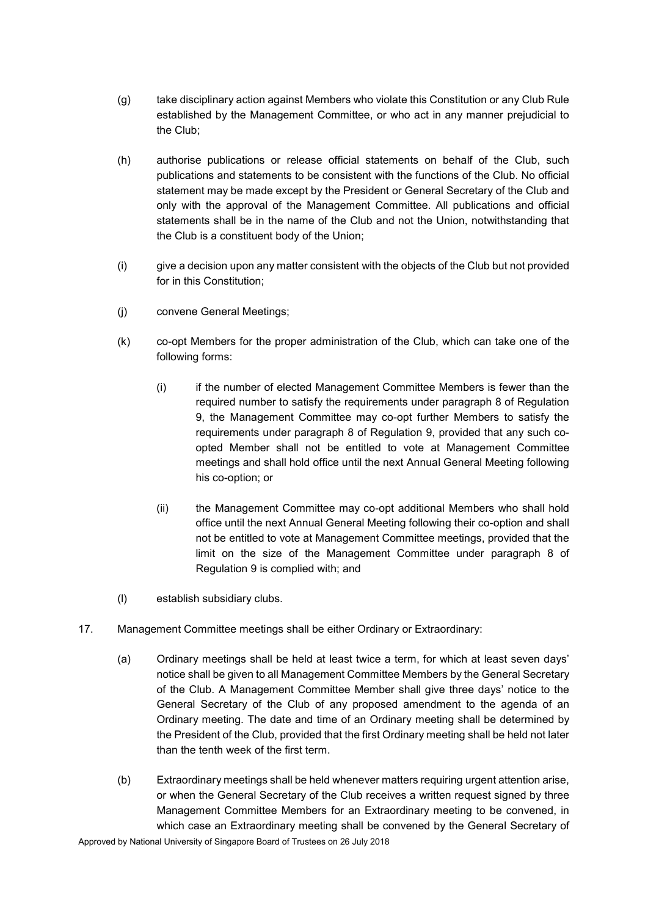- (g) take disciplinary action against Members who violate this Constitution or any Club Rule established by the Management Committee, or who act in any manner prejudicial to the Club;
- (h) authorise publications or release official statements on behalf of the Club, such publications and statements to be consistent with the functions of the Club. No official statement may be made except by the President or General Secretary of the Club and only with the approval of the Management Committee. All publications and official statements shall be in the name of the Club and not the Union, notwithstanding that the Club is a constituent body of the Union;
- (i) give a decision upon any matter consistent with the objects of the Club but not provided for in this Constitution;
- (j) convene General Meetings;
- (k) co-opt Members for the proper administration of the Club, which can take one of the following forms:
	- (i) if the number of elected Management Committee Members is fewer than the required number to satisfy the requirements under paragraph 8 of Regulation 9, the Management Committee may co-opt further Members to satisfy the requirements under paragraph 8 of Regulation 9, provided that any such coopted Member shall not be entitled to vote at Management Committee meetings and shall hold office until the next Annual General Meeting following his co-option; or
	- (ii) the Management Committee may co-opt additional Members who shall hold office until the next Annual General Meeting following their co-option and shall not be entitled to vote at Management Committee meetings, provided that the limit on the size of the Management Committee under paragraph 8 of Regulation 9 is complied with; and
- (l) establish subsidiary clubs.
- 17. Management Committee meetings shall be either Ordinary or Extraordinary:
	- (a) Ordinary meetings shall be held at least twice a term, for which at least seven days' notice shall be given to all Management Committee Members by the General Secretary of the Club. A Management Committee Member shall give three days' notice to the General Secretary of the Club of any proposed amendment to the agenda of an Ordinary meeting. The date and time of an Ordinary meeting shall be determined by the President of the Club, provided that the first Ordinary meeting shall be held not later than the tenth week of the first term.
	- (b) Extraordinary meetings shall be held whenever matters requiring urgent attention arise, or when the General Secretary of the Club receives a written request signed by three Management Committee Members for an Extraordinary meeting to be convened, in which case an Extraordinary meeting shall be convened by the General Secretary of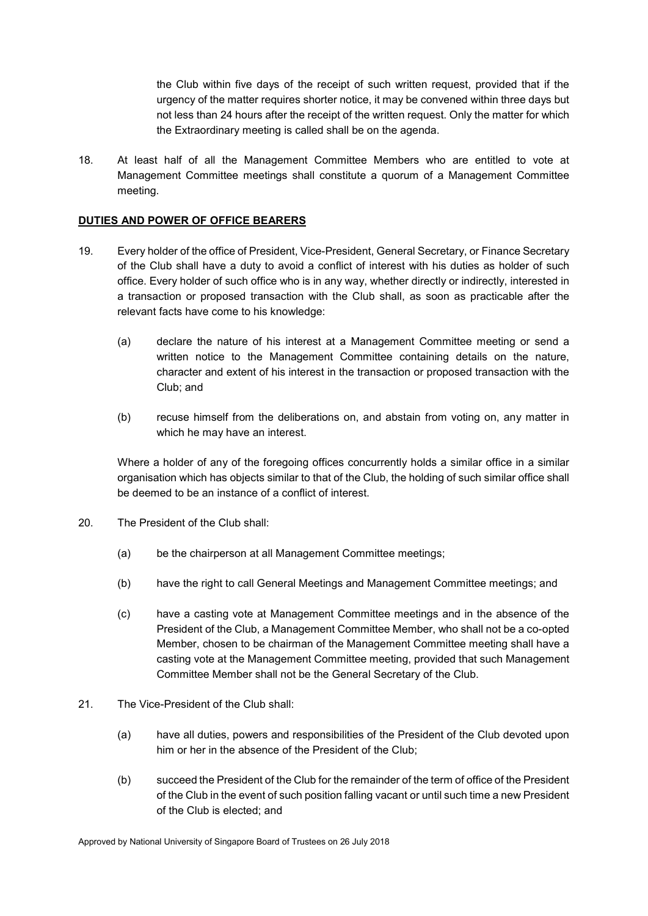the Club within five days of the receipt of such written request, provided that if the urgency of the matter requires shorter notice, it may be convened within three days but not less than 24 hours after the receipt of the written request. Only the matter for which the Extraordinary meeting is called shall be on the agenda.

18. At least half of all the Management Committee Members who are entitled to vote at Management Committee meetings shall constitute a quorum of a Management Committee meeting.

# **DUTIES AND POWER OF OFFICE BEARERS**

- 19. Every holder of the office of President, Vice-President, General Secretary, or Finance Secretary of the Club shall have a duty to avoid a conflict of interest with his duties as holder of such office. Every holder of such office who is in any way, whether directly or indirectly, interested in a transaction or proposed transaction with the Club shall, as soon as practicable after the relevant facts have come to his knowledge:
	- (a) declare the nature of his interest at a Management Committee meeting or send a written notice to the Management Committee containing details on the nature, character and extent of his interest in the transaction or proposed transaction with the Club; and
	- (b) recuse himself from the deliberations on, and abstain from voting on, any matter in which he may have an interest.

Where a holder of any of the foregoing offices concurrently holds a similar office in a similar organisation which has objects similar to that of the Club, the holding of such similar office shall be deemed to be an instance of a conflict of interest.

- 20. The President of the Club shall:
	- (a) be the chairperson at all Management Committee meetings;
	- (b) have the right to call General Meetings and Management Committee meetings; and
	- (c) have a casting vote at Management Committee meetings and in the absence of the President of the Club, a Management Committee Member, who shall not be a co-opted Member, chosen to be chairman of the Management Committee meeting shall have a casting vote at the Management Committee meeting, provided that such Management Committee Member shall not be the General Secretary of the Club.
- 21. The Vice-President of the Club shall:
	- (a) have all duties, powers and responsibilities of the President of the Club devoted upon him or her in the absence of the President of the Club;
	- (b) succeed the President of the Club for the remainder of the term of office of the President of the Club in the event of such position falling vacant or until such time a new President of the Club is elected; and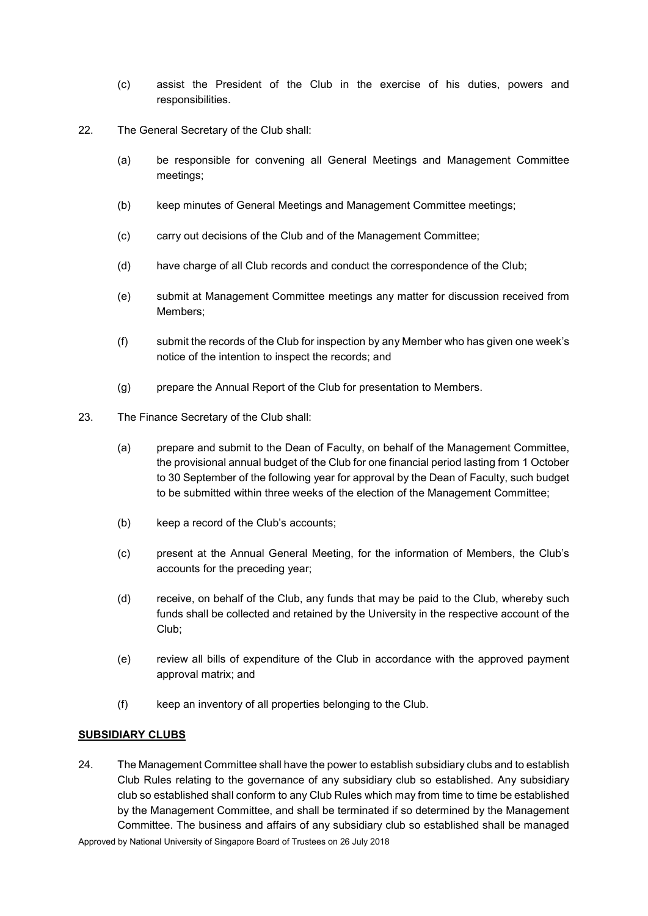- (c) assist the President of the Club in the exercise of his duties, powers and responsibilities.
- 22. The General Secretary of the Club shall:
	- (a) be responsible for convening all General Meetings and Management Committee meetings;
	- (b) keep minutes of General Meetings and Management Committee meetings;
	- (c) carry out decisions of the Club and of the Management Committee;
	- (d) have charge of all Club records and conduct the correspondence of the Club;
	- (e) submit at Management Committee meetings any matter for discussion received from Members;
	- (f) submit the records of the Club for inspection by any Member who has given one week's notice of the intention to inspect the records; and
	- (g) prepare the Annual Report of the Club for presentation to Members.
- 23. The Finance Secretary of the Club shall:
	- (a) prepare and submit to the Dean of Faculty, on behalf of the Management Committee, the provisional annual budget of the Club for one financial period lasting from 1 October to 30 September of the following year for approval by the Dean of Faculty, such budget to be submitted within three weeks of the election of the Management Committee;
	- (b) keep a record of the Club's accounts;
	- (c) present at the Annual General Meeting, for the information of Members, the Club's accounts for the preceding year;
	- (d) receive, on behalf of the Club, any funds that may be paid to the Club, whereby such funds shall be collected and retained by the University in the respective account of the Club;
	- (e) review all bills of expenditure of the Club in accordance with the approved payment approval matrix; and
	- (f) keep an inventory of all properties belonging to the Club.

### **SUBSIDIARY CLUBS**

24. The Management Committee shall have the power to establish subsidiary clubs and to establish Club Rules relating to the governance of any subsidiary club so established. Any subsidiary club so established shall conform to any Club Rules which may from time to time be established by the Management Committee, and shall be terminated if so determined by the Management Committee. The business and affairs of any subsidiary club so established shall be managed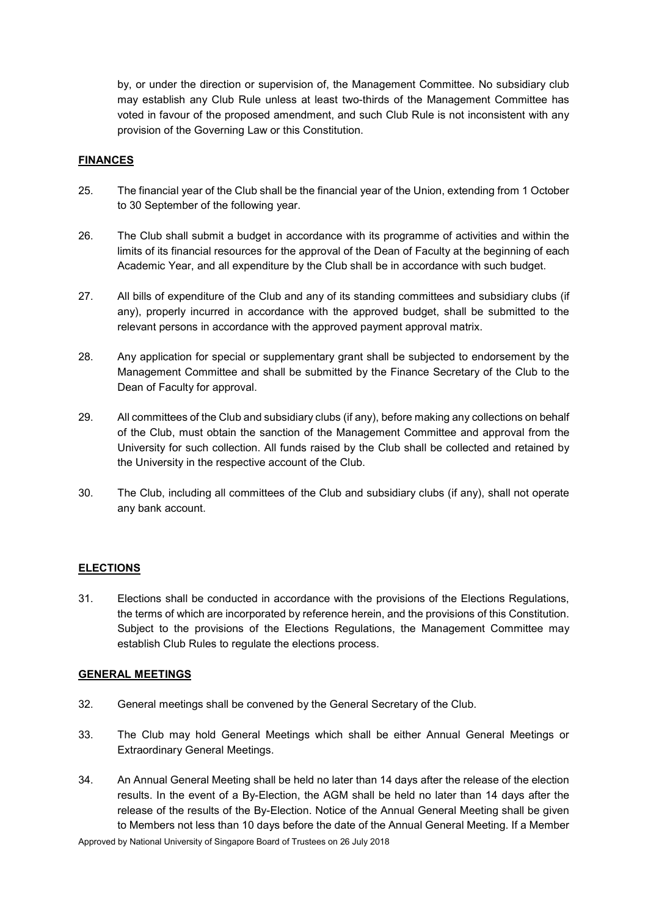by, or under the direction or supervision of, the Management Committee. No subsidiary club may establish any Club Rule unless at least two-thirds of the Management Committee has voted in favour of the proposed amendment, and such Club Rule is not inconsistent with any provision of the Governing Law or this Constitution.

### **FINANCES**

- 25. The financial year of the Club shall be the financial year of the Union, extending from 1 October to 30 September of the following year.
- 26. The Club shall submit a budget in accordance with its programme of activities and within the limits of its financial resources for the approval of the Dean of Faculty at the beginning of each Academic Year, and all expenditure by the Club shall be in accordance with such budget.
- 27. All bills of expenditure of the Club and any of its standing committees and subsidiary clubs (if any), properly incurred in accordance with the approved budget, shall be submitted to the relevant persons in accordance with the approved payment approval matrix.
- 28. Any application for special or supplementary grant shall be subjected to endorsement by the Management Committee and shall be submitted by the Finance Secretary of the Club to the Dean of Faculty for approval.
- 29. All committees of the Club and subsidiary clubs (if any), before making any collections on behalf of the Club, must obtain the sanction of the Management Committee and approval from the University for such collection. All funds raised by the Club shall be collected and retained by the University in the respective account of the Club.
- 30. The Club, including all committees of the Club and subsidiary clubs (if any), shall not operate any bank account.

### **ELECTIONS**

31. Elections shall be conducted in accordance with the provisions of the Elections Regulations, the terms of which are incorporated by reference herein, and the provisions of this Constitution. Subject to the provisions of the Elections Regulations, the Management Committee may establish Club Rules to regulate the elections process.

#### **GENERAL MEETINGS**

- 32. General meetings shall be convened by the General Secretary of the Club.
- 33. The Club may hold General Meetings which shall be either Annual General Meetings or Extraordinary General Meetings.
- 34. An Annual General Meeting shall be held no later than 14 days after the release of the election results. In the event of a By-Election, the AGM shall be held no later than 14 days after the release of the results of the By-Election. Notice of the Annual General Meeting shall be given to Members not less than 10 days before the date of the Annual General Meeting. If a Member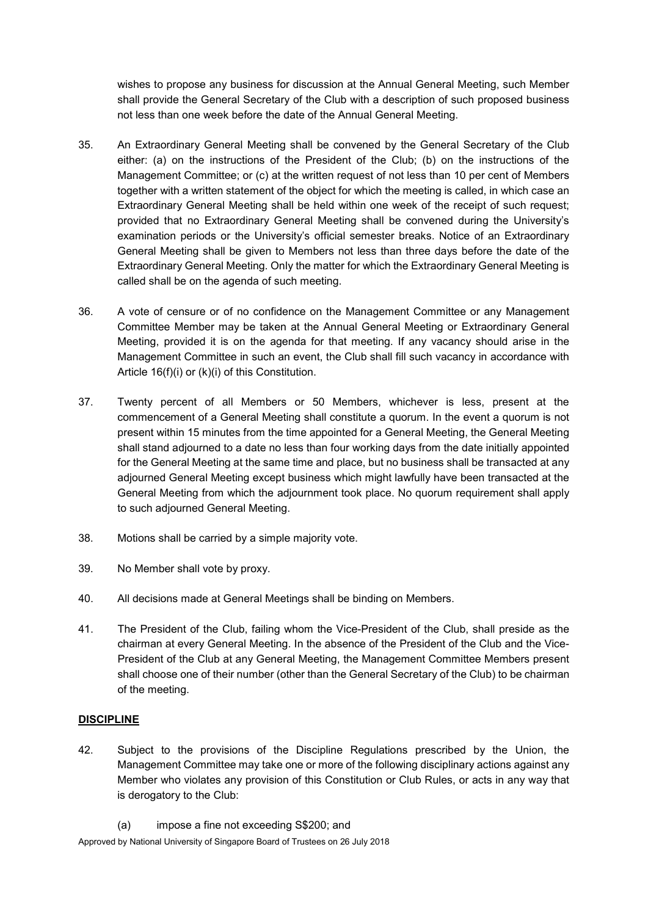wishes to propose any business for discussion at the Annual General Meeting, such Member shall provide the General Secretary of the Club with a description of such proposed business not less than one week before the date of the Annual General Meeting.

- 35. An Extraordinary General Meeting shall be convened by the General Secretary of the Club either: (a) on the instructions of the President of the Club; (b) on the instructions of the Management Committee; or (c) at the written request of not less than 10 per cent of Members together with a written statement of the object for which the meeting is called, in which case an Extraordinary General Meeting shall be held within one week of the receipt of such request; provided that no Extraordinary General Meeting shall be convened during the University's examination periods or the University's official semester breaks. Notice of an Extraordinary General Meeting shall be given to Members not less than three days before the date of the Extraordinary General Meeting. Only the matter for which the Extraordinary General Meeting is called shall be on the agenda of such meeting.
- 36. A vote of censure or of no confidence on the Management Committee or any Management Committee Member may be taken at the Annual General Meeting or Extraordinary General Meeting, provided it is on the agenda for that meeting. If any vacancy should arise in the Management Committee in such an event, the Club shall fill such vacancy in accordance with Article 16(f)(i) or (k)(i) of this Constitution.
- 37. Twenty percent of all Members or 50 Members, whichever is less, present at the commencement of a General Meeting shall constitute a quorum. In the event a quorum is not present within 15 minutes from the time appointed for a General Meeting, the General Meeting shall stand adjourned to a date no less than four working days from the date initially appointed for the General Meeting at the same time and place, but no business shall be transacted at any adjourned General Meeting except business which might lawfully have been transacted at the General Meeting from which the adjournment took place. No quorum requirement shall apply to such adjourned General Meeting.
- 38. Motions shall be carried by a simple majority vote.
- 39. No Member shall vote by proxy.
- 40. All decisions made at General Meetings shall be binding on Members.
- 41. The President of the Club, failing whom the Vice-President of the Club, shall preside as the chairman at every General Meeting. In the absence of the President of the Club and the Vice-President of the Club at any General Meeting, the Management Committee Members present shall choose one of their number (other than the General Secretary of the Club) to be chairman of the meeting.

# **DISCIPLINE**

42. Subject to the provisions of the Discipline Regulations prescribed by the Union, the Management Committee may take one or more of the following disciplinary actions against any Member who violates any provision of this Constitution or Club Rules, or acts in any way that is derogatory to the Club:

<sup>(</sup>a) impose a fine not exceeding S\$200; and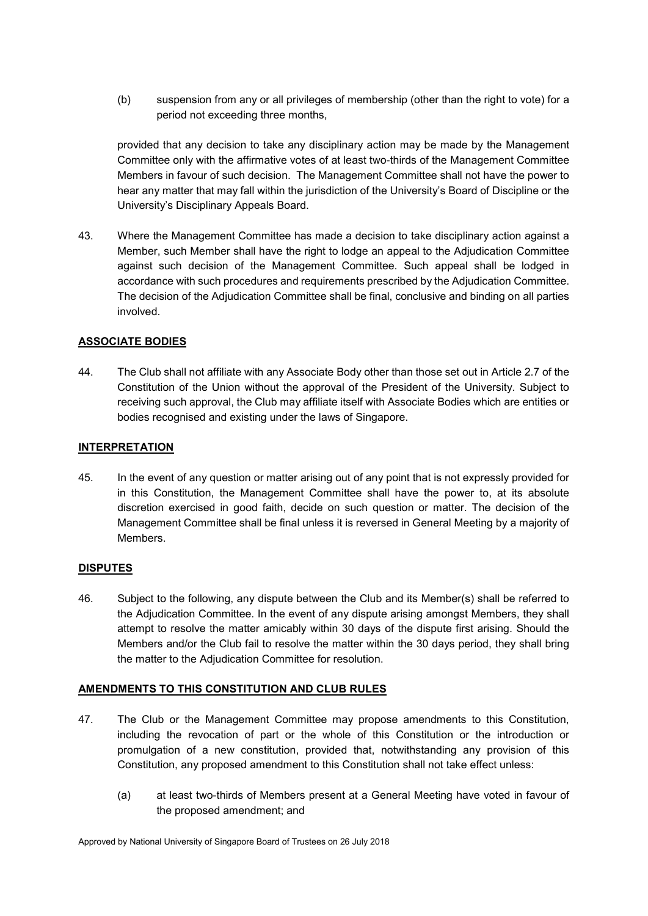(b) suspension from any or all privileges of membership (other than the right to vote) for a period not exceeding three months,

provided that any decision to take any disciplinary action may be made by the Management Committee only with the affirmative votes of at least two-thirds of the Management Committee Members in favour of such decision. The Management Committee shall not have the power to hear any matter that may fall within the jurisdiction of the University's Board of Discipline or the University's Disciplinary Appeals Board.

43. Where the Management Committee has made a decision to take disciplinary action against a Member, such Member shall have the right to lodge an appeal to the Adjudication Committee against such decision of the Management Committee. Such appeal shall be lodged in accordance with such procedures and requirements prescribed by the Adjudication Committee. The decision of the Adjudication Committee shall be final, conclusive and binding on all parties involved.

# **ASSOCIATE BODIES**

44. The Club shall not affiliate with any Associate Body other than those set out in Article 2.7 of the Constitution of the Union without the approval of the President of the University. Subject to receiving such approval, the Club may affiliate itself with Associate Bodies which are entities or bodies recognised and existing under the laws of Singapore.

#### **INTERPRETATION**

45. In the event of any question or matter arising out of any point that is not expressly provided for in this Constitution, the Management Committee shall have the power to, at its absolute discretion exercised in good faith, decide on such question or matter. The decision of the Management Committee shall be final unless it is reversed in General Meeting by a majority of Members.

### **DISPUTES**

46. Subject to the following, any dispute between the Club and its Member(s) shall be referred to the Adjudication Committee. In the event of any dispute arising amongst Members, they shall attempt to resolve the matter amicably within 30 days of the dispute first arising. Should the Members and/or the Club fail to resolve the matter within the 30 days period, they shall bring the matter to the Adjudication Committee for resolution.

### **AMENDMENTS TO THIS CONSTITUTION AND CLUB RULES**

- 47. The Club or the Management Committee may propose amendments to this Constitution, including the revocation of part or the whole of this Constitution or the introduction or promulgation of a new constitution, provided that, notwithstanding any provision of this Constitution, any proposed amendment to this Constitution shall not take effect unless:
	- (a) at least two-thirds of Members present at a General Meeting have voted in favour of the proposed amendment; and